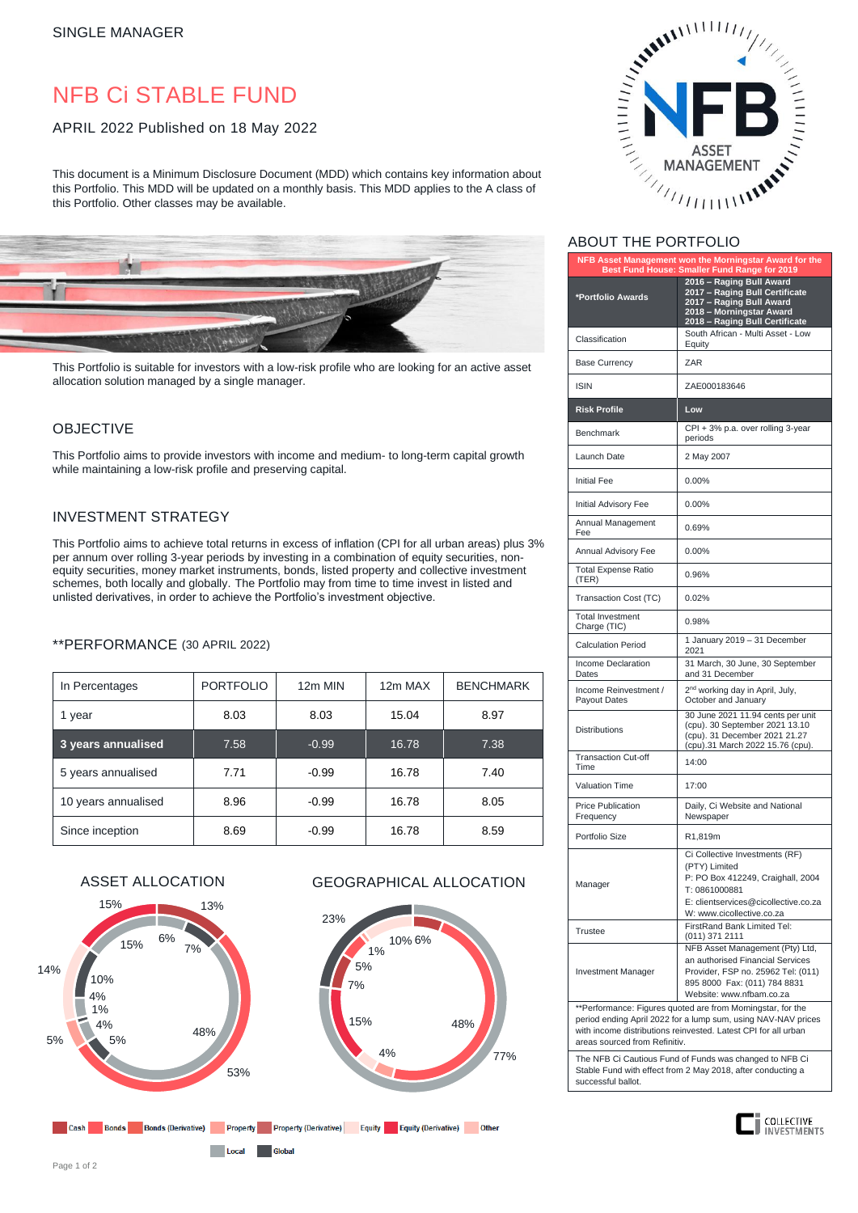# NFB Ci STABLE FUND

# APRIL 2022 Published on 18 May 2022

This document is a Minimum Disclosure Document (MDD) which contains key information about this Portfolio. This MDD will be updated on a monthly basis. This MDD applies to the A class of this Portfolio. Other classes may be available.



This Portfolio is suitable for investors with a low-risk profile who are looking for an active asset allocation solution managed by a single manager.

# OBJECTIVE

This Portfolio aims to provide investors with income and medium- to long-term capital growth while maintaining a low-risk profile and preserving capital.

# INVESTMENT STRATEGY

This Portfolio aims to achieve total returns in excess of inflation (CPI for all urban areas) plus 3% per annum over rolling 3-year periods by investing in a combination of equity securities, nonequity securities, money market instruments, bonds, listed property and collective investment schemes, both locally and globally. The Portfolio may from time to time invest in listed and unlisted derivatives, in order to achieve the Portfolio's investment objective.

## \*\*PERFORMANCE (30 APRIL 2022)

| In Percentages      | <b>PORTFOLIO</b> | 12m MIN | 12m MAX | <b>BENCHMARK</b> |
|---------------------|------------------|---------|---------|------------------|
| 1 year              | 8.03             | 8.03    | 15.04   | 8.97             |
| 3 years annualised  | 7.58             | $-0.99$ | 16.78   | 7.38             |
| 5 years annualised  | 7.71             | $-0.99$ | 16.78   | 7.40             |
| 10 years annualised | 8.96             | $-0.99$ | 16.78   | 8.05             |
| Since inception     | 8.69             | $-0.99$ | 16.78   | 8.59             |



Local Global

# ASSET ALLOCATION GEOGRAPHICAL ALLOCATION





# ABOUT THE PORTFOLIO

| NFB Asset Management won the Morningstar Award for the<br>Best Fund House: Smaller Fund Range for 2019 |                                                                                                                                                                            |  |  |
|--------------------------------------------------------------------------------------------------------|----------------------------------------------------------------------------------------------------------------------------------------------------------------------------|--|--|
| *Portfolio Awards                                                                                      | 2016 - Raging Bull Award<br>2017 - Raging Bull Certificate<br>2017 - Raging Bull Award<br>2018 - Morningstar Award<br>2018 - Raging Bull Certificate                       |  |  |
| Classification                                                                                         | South African - Multi Asset - Low<br>Equity                                                                                                                                |  |  |
| <b>Base Currency</b>                                                                                   | ZAR                                                                                                                                                                        |  |  |
| <b>ISIN</b>                                                                                            | ZAE000183646                                                                                                                                                               |  |  |
| <b>Risk Profile</b>                                                                                    | Low                                                                                                                                                                        |  |  |
| <b>Benchmark</b>                                                                                       | CPI + 3% p.a. over rolling 3-year<br>periods                                                                                                                               |  |  |
| Launch Date                                                                                            | 2 May 2007                                                                                                                                                                 |  |  |
| <b>Initial Fee</b>                                                                                     | 0.00%                                                                                                                                                                      |  |  |
| Initial Advisory Fee                                                                                   | 0.00%                                                                                                                                                                      |  |  |
| Annual Management<br>Fee                                                                               | 0.69%                                                                                                                                                                      |  |  |
| Annual Advisory Fee                                                                                    | 0.00%                                                                                                                                                                      |  |  |
| <b>Total Expense Ratio</b><br>(TER)                                                                    | 0.96%                                                                                                                                                                      |  |  |
| Transaction Cost (TC)                                                                                  | 0.02%                                                                                                                                                                      |  |  |
| <b>Total Investment</b><br>Charge (TIC)                                                                | 0.98%                                                                                                                                                                      |  |  |
| <b>Calculation Period</b>                                                                              | 1 January 2019 - 31 December<br>2021                                                                                                                                       |  |  |
| Income Declaration<br>Dates                                                                            | 31 March, 30 June, 30 September<br>and 31 December                                                                                                                         |  |  |
| Income Reinvestment /<br>Payout Dates                                                                  | 2 <sup>nd</sup> working day in April, July,<br>October and January                                                                                                         |  |  |
| <b>Distributions</b>                                                                                   | 30 June 2021 11.94 cents per unit<br>(cpu). 30 September 2021 13.10<br>(cpu). 31 December 2021 21.27<br>(cpu).31 March 2022 15.76 (cpu).                                   |  |  |
| <b>Transaction Cut-off</b><br>Time                                                                     | 14:00                                                                                                                                                                      |  |  |
| Valuation Time                                                                                         | 17:00                                                                                                                                                                      |  |  |
| <b>Price Publication</b><br>Frequency                                                                  | Daily, Ci Website and National<br>Newspaper                                                                                                                                |  |  |
| Portfolio Size                                                                                         | R1,819m                                                                                                                                                                    |  |  |
| Manager                                                                                                | Ci Collective Investments (RF)<br>(PTY) Limited<br>P: PO Box 412249, Craighall, 2004<br>T: 0861000881<br>E: clientservices@cicollective.co.za<br>W: www.cicollective.co.za |  |  |
| <b>Trustee</b>                                                                                         | FirstRand Bank Limited Tel:<br>(011) 371 2111                                                                                                                              |  |  |
| Investment Manager                                                                                     | NFB Asset Management (Pty) Ltd,<br>an authorised Financial Services<br>Provider, FSP no. 25962 Tel: (011)<br>895 8000 Fax: (011) 784 8831<br>Website: www.nfbam.co.za      |  |  |
| **Performance: Figures quoted are from Morningstar, for the                                            |                                                                                                                                                                            |  |  |

period ending April 2022 for a lump sum, using NAV-NAV prices with income distributions reinvested. Latest CPI for all urban areas sourced from Refinitiv.

The NFB Ci Cautious Fund of Funds was changed to NFB Ci Stable Fund with effect from 2 May 2018, after conducting a successful ballot.